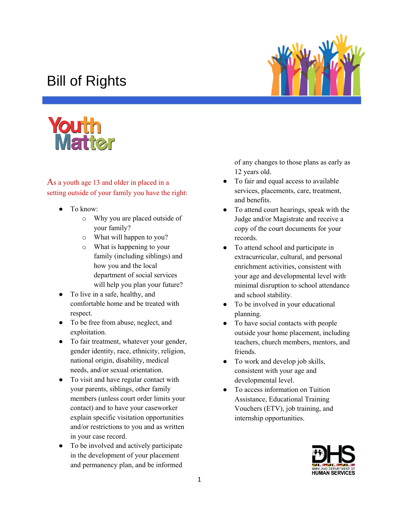## Bill of Rights





As a youth age 13 and older in placed in a setting outside of your family you have the right:

- To know:
	- o Why you are placed outside of your family?
	- o What will happen to you?
	- o What is happening to your family (including siblings) and how you and the local department of social services will help you plan your future?
- To live in a safe, healthy, and comfortable home and be treated with respect.
- To be free from abuse, neglect, and exploitation.
- To fair treatment, whatever your gender, gender identity, race, ethnicity, religion, national origin, disability, medical needs, and/or sexual orientation.
- To visit and have regular contact with your parents, siblings, other family members (unless court order limits your contact) and to have your caseworker explain specific visitation opportunities and/or restrictions to you and as written in your case record.
- To be involved and actively participate in the development of your placement and permanency plan, and be informed

of any changes to those plans as early as 12 years old.

- To fair and equal access to available services, placements, care, treatment, and benefits.
- To attend court hearings, speak with the Judge and/or Magistrate and receive a copy of the court documents for your records.
- To attend school and participate in extracurricular, cultural, and personal enrichment activities, consistent with your age and developmental level with minimal disruption to school attendance and school stability.
- To be involved in your educational planning.
- To have social contacts with people outside your home placement, including teachers, church members, mentors, and friends.
- To work and develop job skills, consistent with your age and developmental level.
- To access information on Tuition Assistance, Educational Training Vouchers (ETV), job training, and internship opportunities.